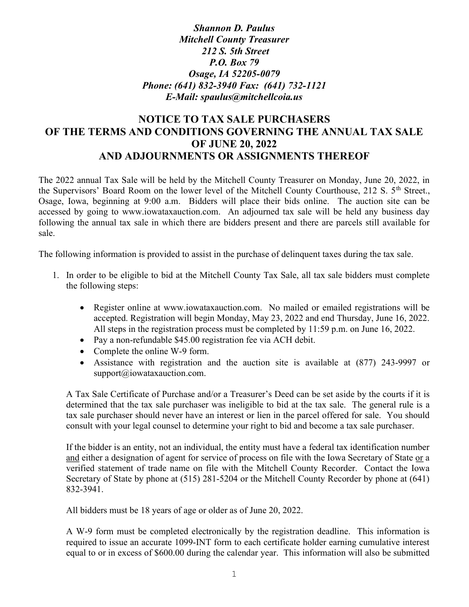Shannon D. Paulus Mitchell County Treasurer 212 S. 5th Street P.O. Box 79 Osage, IA 52205-0079 Phone: (641) 832-3940 Fax: (641) 732-1121 E-Mail: spaulus@mitchellcoia.us

## NOTICE TO TAX SALE PURCHASERS OF THE TERMS AND CONDITIONS GOVERNING THE ANNUAL TAX SALE OF JUNE 20, 2022 AND ADJOURNMENTS OR ASSIGNMENTS THEREOF

The 2022 annual Tax Sale will be held by the Mitchell County Treasurer on Monday, June 20, 2022, in the Supervisors' Board Room on the lower level of the Mitchell County Courthouse, 212 S. 5<sup>th</sup> Street., Osage, Iowa, beginning at 9:00 a.m. Bidders will place their bids online. The auction site can be accessed by going to www.iowataxauction.com. An adjourned tax sale will be held any business day following the annual tax sale in which there are bidders present and there are parcels still available for sale.

The following information is provided to assist in the purchase of delinquent taxes during the tax sale.

- 1. In order to be eligible to bid at the Mitchell County Tax Sale, all tax sale bidders must complete the following steps:
	- Register online at www.iowataxauction.com. No mailed or emailed registrations will be accepted. Registration will begin Monday, May 23, 2022 and end Thursday, June 16, 2022. All steps in the registration process must be completed by 11:59 p.m. on June 16, 2022.
	- Pay a non-refundable \$45.00 registration fee via ACH debit.
	- Complete the online W-9 form.
	- Assistance with registration and the auction site is available at (877) 243-9997 or support@iowataxauction.com.

A Tax Sale Certificate of Purchase and/or a Treasurer's Deed can be set aside by the courts if it is determined that the tax sale purchaser was ineligible to bid at the tax sale. The general rule is a tax sale purchaser should never have an interest or lien in the parcel offered for sale. You should consult with your legal counsel to determine your right to bid and become a tax sale purchaser.

If the bidder is an entity, not an individual, the entity must have a federal tax identification number and either a designation of agent for service of process on file with the Iowa Secretary of State or a verified statement of trade name on file with the Mitchell County Recorder. Contact the Iowa Secretary of State by phone at (515) 281-5204 or the Mitchell County Recorder by phone at (641) 832-3941.

All bidders must be 18 years of age or older as of June 20, 2022.

A W-9 form must be completed electronically by the registration deadline. This information is required to issue an accurate 1099-INT form to each certificate holder earning cumulative interest equal to or in excess of \$600.00 during the calendar year. This information will also be submitted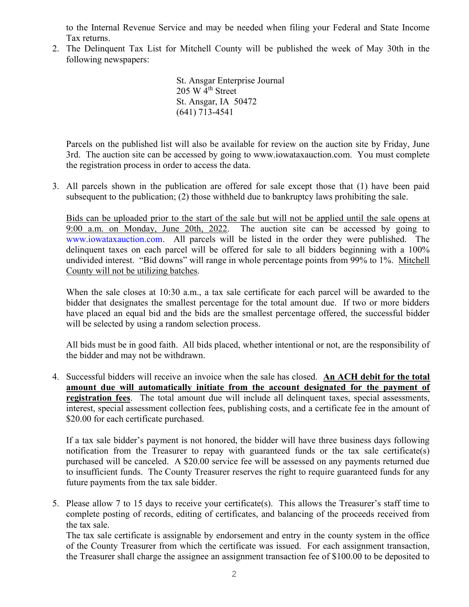to the Internal Revenue Service and may be needed when filing your Federal and State Income Tax returns.

2. The Delinquent Tax List for Mitchell County will be published the week of May 30th in the following newspapers:

> St. Ansgar Enterprise Journal  $205 \text{ W } 4^{\text{th}}$  Street St. Ansgar, IA 50472 (641) 713-4541

Parcels on the published list will also be available for review on the auction site by Friday, June 3rd. The auction site can be accessed by going to www.iowataxauction.com. You must complete the registration process in order to access the data.

3. All parcels shown in the publication are offered for sale except those that (1) have been paid subsequent to the publication; (2) those withheld due to bankruptcy laws prohibiting the sale.

Bids can be uploaded prior to the start of the sale but will not be applied until the sale opens at 9:00 a.m. on Monday, June 20th, 2022. The auction site can be accessed by going to www.iowataxauction.com. All parcels will be listed in the order they were published. The delinquent taxes on each parcel will be offered for sale to all bidders beginning with a 100% undivided interest. "Bid downs" will range in whole percentage points from 99% to 1%. Mitchell County will not be utilizing batches.

When the sale closes at 10:30 a.m., a tax sale certificate for each parcel will be awarded to the bidder that designates the smallest percentage for the total amount due. If two or more bidders have placed an equal bid and the bids are the smallest percentage offered, the successful bidder will be selected by using a random selection process.

All bids must be in good faith. All bids placed, whether intentional or not, are the responsibility of the bidder and may not be withdrawn.

4. Successful bidders will receive an invoice when the sale has closed. An ACH debit for the total amount due will automatically initiate from the account designated for the payment of registration fees. The total amount due will include all delinquent taxes, special assessments, interest, special assessment collection fees, publishing costs, and a certificate fee in the amount of \$20.00 for each certificate purchased.

If a tax sale bidder's payment is not honored, the bidder will have three business days following notification from the Treasurer to repay with guaranteed funds or the tax sale certificate(s) purchased will be canceled. A \$20.00 service fee will be assessed on any payments returned due to insufficient funds. The County Treasurer reserves the right to require guaranteed funds for any future payments from the tax sale bidder.

5. Please allow 7 to 15 days to receive your certificate(s). This allows the Treasurer's staff time to complete posting of records, editing of certificates, and balancing of the proceeds received from the tax sale.

 The tax sale certificate is assignable by endorsement and entry in the county system in the office of the County Treasurer from which the certificate was issued. For each assignment transaction, the Treasurer shall charge the assignee an assignment transaction fee of \$100.00 to be deposited to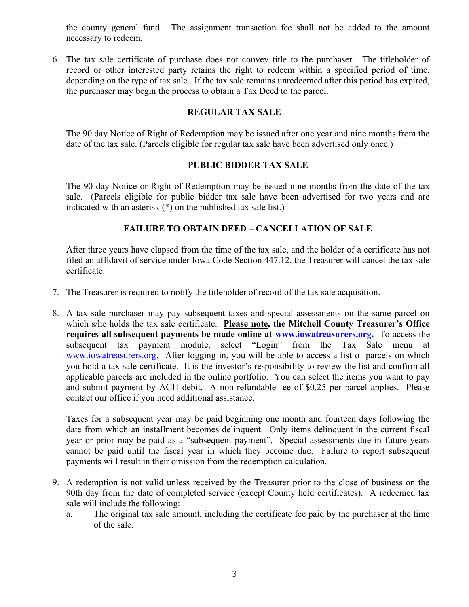the county general fund. The assignment transaction fee shall not be added to the amount necessary to redeem.

6. The tax sale certificate of purchase does not convey title to the purchaser. The titleholder of record or other interested party retains the right to redeem within a specified period of time, depending on the type of tax sale. If the tax sale remains unredeemed after this period has expired, the purchaser may begin the process to obtain a Tax Deed to the parcel.

## REGULAR TAX SALE

The 90 day Notice of Right of Redemption may be issued after one year and nine months from the date of the tax sale. (Parcels eligible for regular tax sale have been advertised only once.)

## PUBLIC BIDDER TAX SALE

The 90 day Notice or Right of Redemption may be issued nine months from the date of the tax sale. (Parcels eligible for public bidder tax sale have been advertised for two years and are indicated with an asterisk (\*) on the published tax sale list.)

## FAILURE TO OBTAIN DEED – CANCELLATION OF SALE

After three years have elapsed from the time of the tax sale, and the holder of a certificate has not filed an affidavit of service under Iowa Code Section 447.12, the Treasurer will cancel the tax sale certificate.

- 7. The Treasurer is required to notify the titleholder of record of the tax sale acquisition.
- 8. A tax sale purchaser may pay subsequent taxes and special assessments on the same parcel on which s/he holds the tax sale certificate. Please note, the Mitchell County Treasurer's Office requires all subsequent payments be made online at www.iowatreasurers.org. To access the subsequent tax payment module, select "Login" from the Tax Sale menu at www.iowatreasurers.org. After logging in, you will be able to access a list of parcels on which you hold a tax sale certificate. It is the investor's responsibility to review the list and confirm all applicable parcels are included in the online portfolio. You can select the items you want to pay and submit payment by ACH debit. A non-refundable fee of \$0.25 per parcel applies. Please contact our office if you need additional assistance.

Taxes for a subsequent year may be paid beginning one month and fourteen days following the date from which an installment becomes delinquent. Only items delinquent in the current fiscal year or prior may be paid as a "subsequent payment". Special assessments due in future years cannot be paid until the fiscal year in which they become due. Failure to report subsequent payments will result in their omission from the redemption calculation.

- 9. A redemption is not valid unless received by the Treasurer prior to the close of business on the 90th day from the date of completed service (except County held certificates). A redeemed tax sale will include the following:
	- a. The original tax sale amount, including the certificate fee paid by the purchaser at the time of the sale.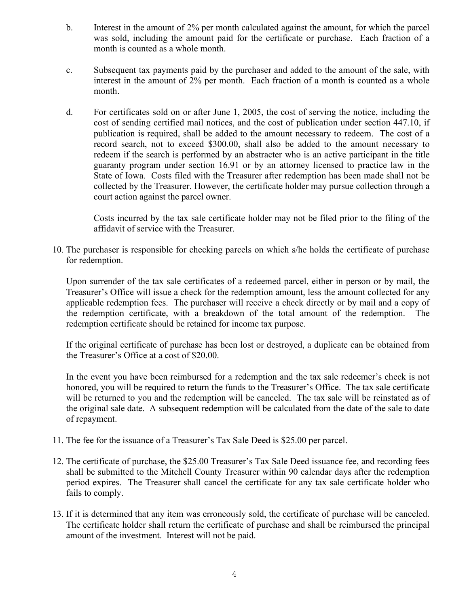- b. Interest in the amount of 2% per month calculated against the amount, for which the parcel was sold, including the amount paid for the certificate or purchase. Each fraction of a month is counted as a whole month.
- c. Subsequent tax payments paid by the purchaser and added to the amount of the sale, with interest in the amount of 2% per month. Each fraction of a month is counted as a whole month.
- d. For certificates sold on or after June 1, 2005, the cost of serving the notice, including the cost of sending certified mail notices, and the cost of publication under section 447.10, if publication is required, shall be added to the amount necessary to redeem. The cost of a record search, not to exceed \$300.00, shall also be added to the amount necessary to redeem if the search is performed by an abstracter who is an active participant in the title guaranty program under section 16.91 or by an attorney licensed to practice law in the State of Iowa. Costs filed with the Treasurer after redemption has been made shall not be collected by the Treasurer. However, the certificate holder may pursue collection through a court action against the parcel owner.

Costs incurred by the tax sale certificate holder may not be filed prior to the filing of the affidavit of service with the Treasurer.

10. The purchaser is responsible for checking parcels on which s/he holds the certificate of purchase for redemption.

Upon surrender of the tax sale certificates of a redeemed parcel, either in person or by mail, the Treasurer's Office will issue a check for the redemption amount, less the amount collected for any applicable redemption fees. The purchaser will receive a check directly or by mail and a copy of the redemption certificate, with a breakdown of the total amount of the redemption. The redemption certificate should be retained for income tax purpose.

If the original certificate of purchase has been lost or destroyed, a duplicate can be obtained from the Treasurer's Office at a cost of \$20.00.

In the event you have been reimbursed for a redemption and the tax sale redeemer's check is not honored, you will be required to return the funds to the Treasurer's Office. The tax sale certificate will be returned to you and the redemption will be canceled. The tax sale will be reinstated as of the original sale date. A subsequent redemption will be calculated from the date of the sale to date of repayment.

- 11. The fee for the issuance of a Treasurer's Tax Sale Deed is \$25.00 per parcel.
- 12. The certificate of purchase, the \$25.00 Treasurer's Tax Sale Deed issuance fee, and recording fees shall be submitted to the Mitchell County Treasurer within 90 calendar days after the redemption period expires. The Treasurer shall cancel the certificate for any tax sale certificate holder who fails to comply.
- 13. If it is determined that any item was erroneously sold, the certificate of purchase will be canceled. The certificate holder shall return the certificate of purchase and shall be reimbursed the principal amount of the investment. Interest will not be paid.